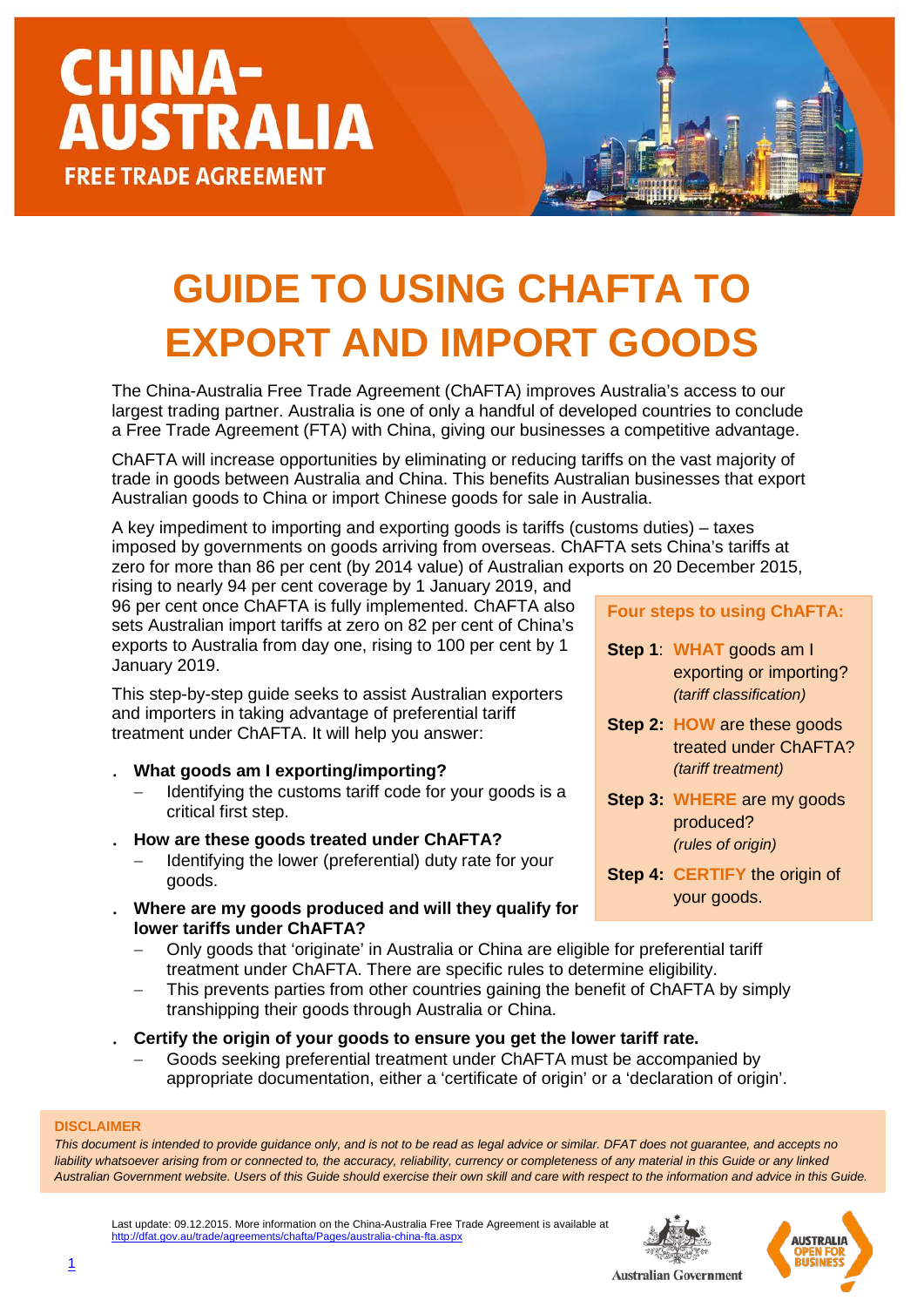### **GUIDE TO USING CHAFTA TO EXPORT AND IMPORT GOODS**

The China-Australia Free Trade Agreement (ChAFTA) improves Australia's access to our largest trading partner. Australia is one of only a handful of developed countries to conclude a Free Trade Agreement (FTA) with China, giving our businesses a competitive advantage.

ChAFTA will increase opportunities by eliminating or reducing tariffs on the vast majority of trade in goods between Australia and China. This benefits Australian businesses that export Australian goods to China or import Chinese goods for sale in Australia.

A key impediment to importing and exporting goods is tariffs (customs duties) – taxes imposed by governments on goods arriving from overseas. ChAFTA sets China's tariffs at zero for more than 86 per cent (by 2014 value) of Australian exports on 20 December 2015,

rising to nearly 94 per cent coverage by 1 January 2019, and 96 per cent once ChAFTA is fully implemented. ChAFTA also sets Australian import tariffs at zero on 82 per cent of China's exports to Australia from day one, rising to 100 per cent by 1 January 2019.

This step-by-step guide seeks to assist Australian exporters and importers in taking advantage of preferential tariff treatment under ChAFTA. It will help you answer:

- . **What goods am I exporting/importing?**
	- Identifying the customs tariff code for your goods is a critical first step.
- . **How are these goods treated under ChAFTA?**
	- Identifying the lower (preferential) duty rate for your goods.
- . **Where are my goods produced and will they qualify for lower tariffs under ChAFTA?**
	- − Only goods that 'originate' in Australia or China are eligible for preferential tariff treatment under ChAFTA. There are specific rules to determine eligibility.
	- This prevents parties from other countries gaining the benefit of ChAFTA by simply transhipping their goods through Australia or China.
- . **Certify the origin of your goods to ensure you get the lower tariff rate.**
	- − Goods seeking preferential treatment under ChAFTA must be accompanied by appropriate documentation, either a 'certificate of origin' or a 'declaration of origin'.

#### **DISCLAIMER**

*This document is intended to provide guidance only, and is not to be read as legal advice or similar. DFAT does not guarantee, and accepts no*  liability whatsoever arising from or connected to, the accuracy, reliability, currency or completeness of any material in this Guide or any linked *Australian Government website. Users of this Guide should exercise their own skill and care with respect to the information and advice in this Guide.*

Last update: 09.12.2015. More information on the China-Australia Free Trade Agreement is available at at.gov.au/trade/agreements/chafta/Pages/australia-china-fta.aspx





**Four steps to using ChAFTA:**

- **Step 1**: **WHAT** goods am I exporting or importing? *(tariff classification)*
- **Step 2: HOW** are these goods treated under ChAFTA? *(tariff treatment)*
- **Step 3: WHERE** are my goods produced? *(rules of origin)*
- **Step 4: CERTIFY** the origin of your goods.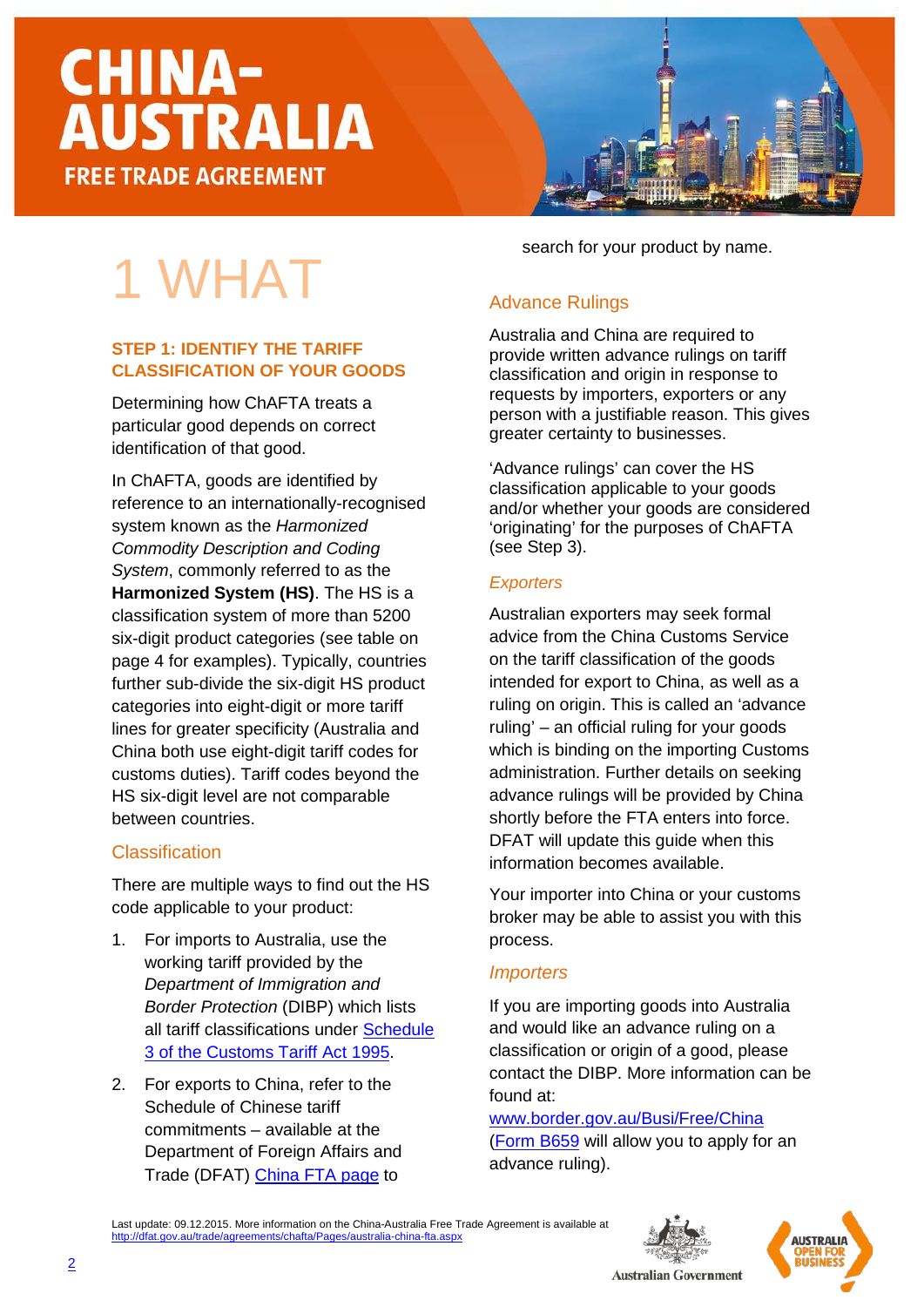1 WHAT

**STEP 1: IDENTIFY THE TARIFF** 

Determining how ChAFTA treats a particular good depends on correct

In ChAFTA, goods are identified by

system known as the *Harmonized Commodity Description and Coding System*, commonly referred to as the **Harmonized System (HS)**. The HS is a classification system of more than 5200 six-digit product categories (see table on page 4 for examples). Typically, countries further sub-divide the six-digit HS product categories into eight-digit or more tariff lines for greater specificity (Australia and China both use eight-digit tariff codes for customs duties). Tariff codes beyond the HS six-digit level are not comparable

reference to an internationally-recognised

There are multiple ways to find out the HS

[3 of the Customs Tariff Act 1995.](http://www.customs.gov.au/tariff/tariff2012.asp)

2. For exports to China, refer to the Schedule of Chinese tariff commitments – available at the Department of Foreign Affairs and Trade (DFAT) [China FTA page](http://dfat.gov.au/trade/agreements/chafta/official-documents/Pages/official-documents.aspx) to

code applicable to your product:

1. For imports to Australia, use the working tariff provided by the *Department of Immigration and Border Protection* (DIBP) which lists all tariff classifications under [Schedule](http://www.customs.gov.au/tariff/tariff2012.asp) 

identification of that good.

between countries.

**Classification** 

**CLASSIFICATION OF YOUR GOODS**

search for your product by name.

#### Advance Rulings

Australia and China are required to provide written advance rulings on tariff classification and origin in response to requests by importers, exporters or any person with a justifiable reason. This gives greater certainty to businesses.

'Advance rulings' can cover the HS classification applicable to your goods and/or whether your goods are considered 'originating' for the purposes of ChAFTA (see Step 3).

#### *Exporters*

Australian exporters may seek formal advice from the China Customs Service on the tariff classification of the goods intended for export to China, as well as a ruling on origin. This is called an 'advance ruling' – an official ruling for your goods which is binding on the importing Customs administration. Further details on seeking advance rulings will be provided by China shortly before the FTA enters into force. DFAT will update this guide when this information becomes available.

Your importer into China or your customs broker may be able to assist you with this process.

#### *Importers*

If you are importing goods into Australia and would like an advance ruling on a classification or origin of a good, please contact the DIBP. More information can be found at:

[www.border.gov.au/Busi/Free/China](http://www.border.gov.au/Busi/Free/China)  [\(Form B659](http://www.border.gov.au/Forms/Documents/b659.pdf) will allow you to apply for an advance ruling).

Last update: 09.12.2015. More information on the China-Australia Free Trade Agreement is available at <http://dfat.gov.au/trade/agreements/chafta/Pages/australia-china-fta.aspx>





#### **Australian Government**

2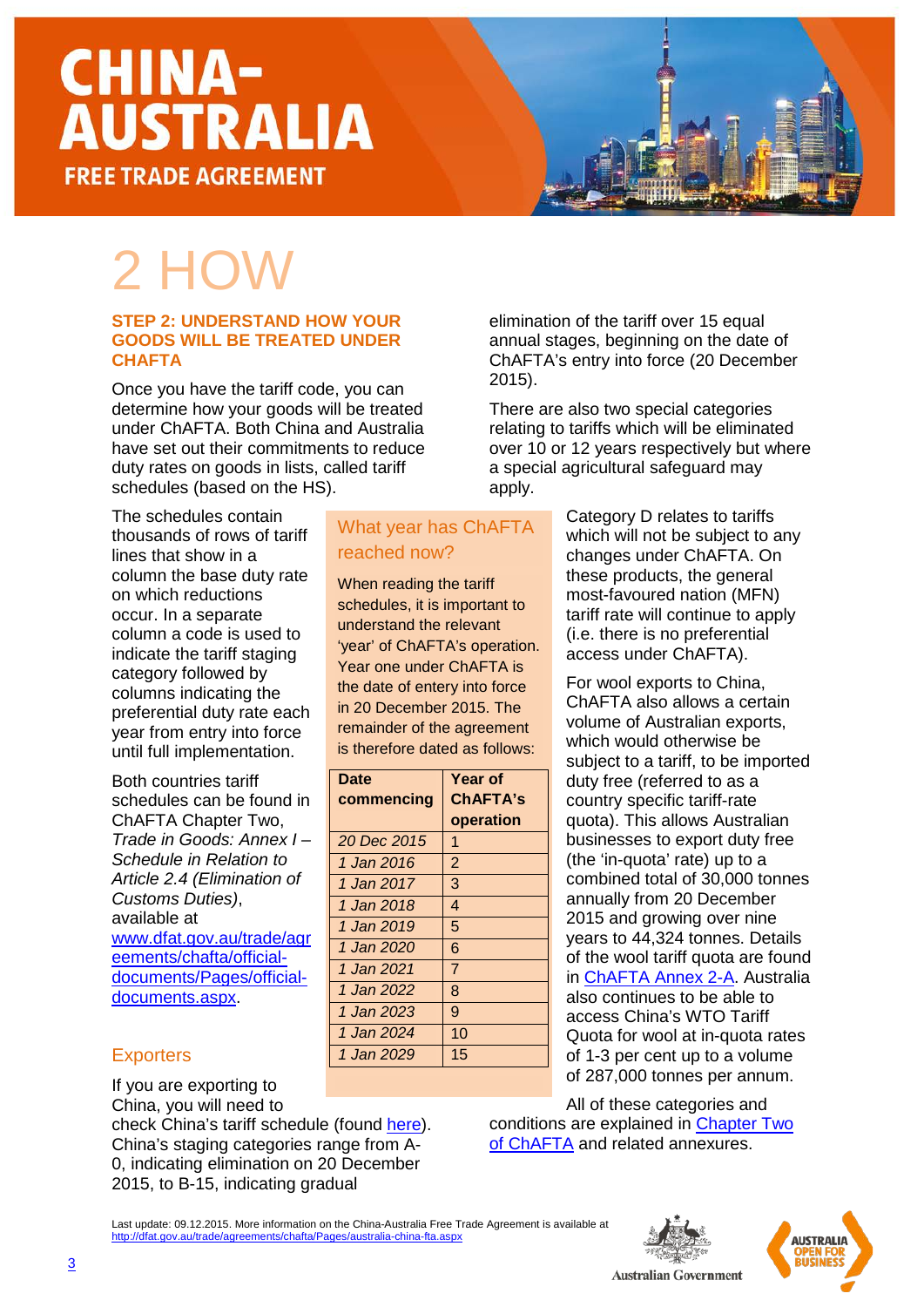### 2 HOW

#### **STEP 2: UNDERSTAND HOW YOUR GOODS WILL BE TREATED UNDER CHAFTA**

Once you have the tariff code, you can determine how your goods will be treated under ChAFTA. Both China and Australia have set out their commitments to reduce duty rates on goods in lists, called tariff schedules (based on the HS).

What year has ChAFTA

**Year of ChAFTA's operation**

reached now?

**Date** 

**commencing**

When reading the tariff schedules, it is important to understand the relevant 'year' of ChAFTA's operation. Year one under ChAFTA is the date of entery into force in 20 December 2015. The remainder of the agreement is therefore dated as follows:

The schedules contain thousands of rows of tariff lines that show in a column the base duty rate on which reductions occur. In a separate column a code is used to indicate the tariff staging category followed by columns indicating the preferential duty rate each year from entry into force until full implementation.

Both countries tariff schedules can be found in ChAFTA Chapter Two, *Trade in Goods: Annex I – Schedule in Relation to Article 2.4 (Elimination of Customs Duties)*, available at [www.dfat.gov.au/trade/agr](http://www.dfat.gov.au/trade/agreements/chafta/official-documents/Pages/official-documents.aspx) [eements/chafta/official](http://www.dfat.gov.au/trade/agreements/chafta/official-documents/Pages/official-documents.aspx)[documents/Pages/official](http://www.dfat.gov.au/trade/agreements/chafta/official-documents/Pages/official-documents.aspx)[documents.aspx.](http://www.dfat.gov.au/trade/agreements/chafta/official-documents/Pages/official-documents.aspx)

#### **Exporters**

If you are exporting to China, you will need to

check China's tariff schedule (found [here\)](http://dfat.gov.au/trade/agreements/chafta/official-documents/Pages/official-documents.aspx). China's staging categories range from A-0, indicating elimination on 20 December 2015, to B-15, indicating gradual

elimination of the tariff over 15 equal annual stages, beginning on the date of ChAFTA's entry into force (20 December 2015).

There are also two special categories relating to tariffs which will be eliminated over 10 or 12 years respectively but where a special agricultural safeguard may apply.

> Category D relates to tariffs which will not be subject to any changes under ChAFTA. On these products, the general most-favoured nation (MFN) tariff rate will continue to apply (i.e. there is no preferential access under ChAFTA).

For wool exports to China, ChAFTA also allows a certain volume of Australian exports, which would otherwise be subject to a tariff, to be imported duty free (referred to as a country specific tariff-rate quota). This allows Australian businesses to export duty free (the 'in-quota' rate) up to a combined total of 30,000 tonnes annually from 20 December 2015 and growing over nine years to 44,324 tonnes. Details of the wool tariff quota are found in [ChAFTA Annex 2-A.](http://dfat.gov.au/trade/agreements/chafta/official-documents/Documents/chafta-chapter-2-trade-in-goods.docx) Australia also continues to be able to access China's WTO Tariff Quota for wool at in-quota rates of 1-3 per cent up to a volume of 287,000 tonnes per annum.

All of these categories and conditions are explained in [Chapter Two](http://dfat.gov.au/trade/agreements/chafta/official-documents/Documents/chafta-chapter-2-trade-in-goods.docx)  [of ChAFTA](http://dfat.gov.au/trade/agreements/chafta/official-documents/Documents/chafta-chapter-2-trade-in-goods.docx) and related annexures.

Last update: 09.12.2015. More information on the China-Australia Free Trade Agreement is available at alia-china-fta.aspx



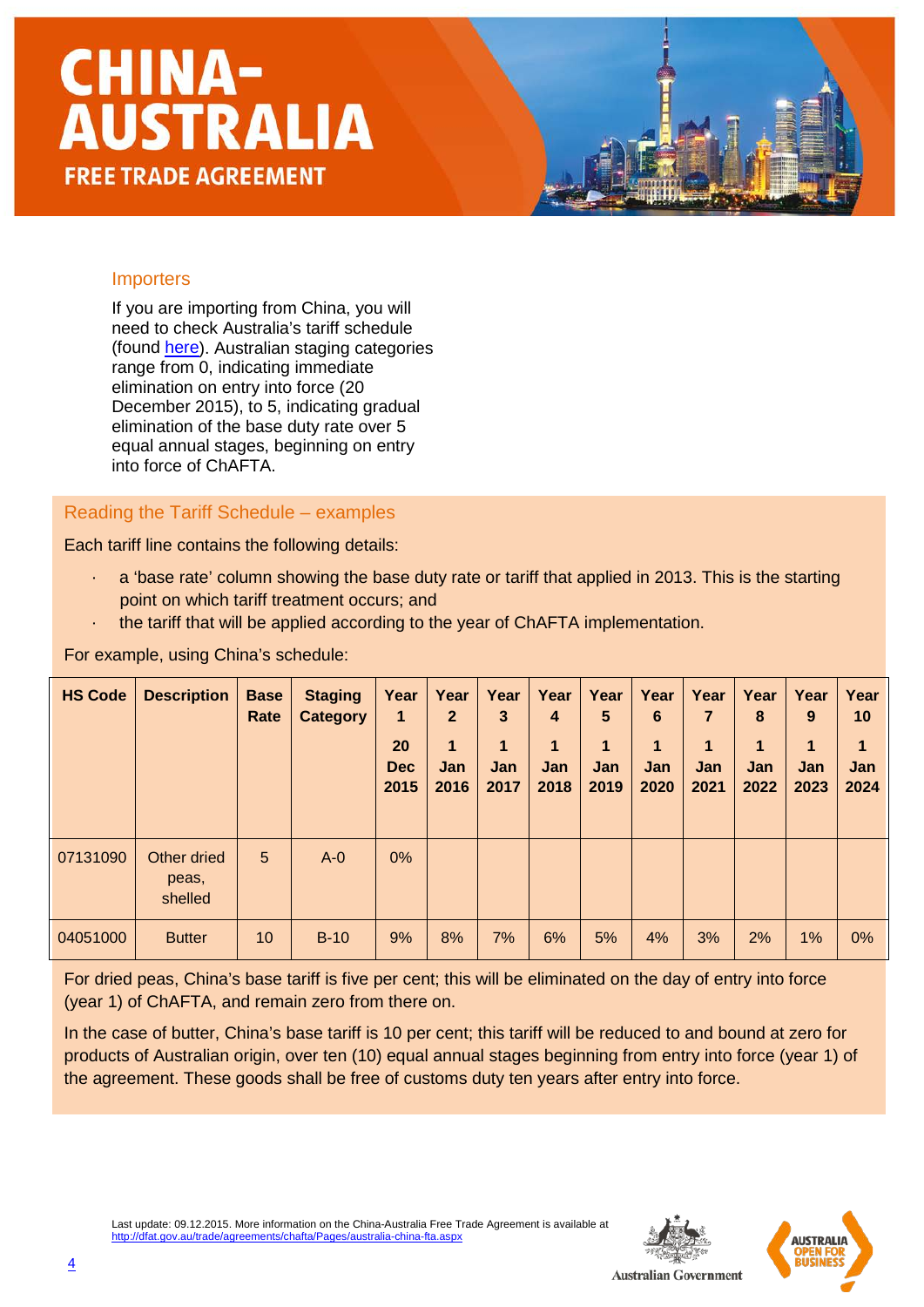#### **Importers**

If you are importing from China, you will need to check Australia's tariff schedule (found [here\)](http://dfat.gov.au/trade/agreements/chafta/official-documents/Pages/official-documents.aspx). Australian staging categories range from 0, indicating immediate elimination on entry into force (20 December 2015), to 5, indicating gradual elimination of the base duty rate over 5 equal annual stages, beginning on entry into force of ChAFTA.

Reading the Tariff Schedule – examples

Each tariff line contains the following details:

- $\cdot$  a 'base rate' column showing the base duty rate or tariff that applied in 2013. This is the starting point on which tariff treatment occurs; and
- · the tariff that will be applied according to the year of ChAFTA implementation.

For example, using China's schedule:

| <b>HS Code</b> | <b>Description</b>              | <b>Base</b><br>Rate | <b>Staging</b><br><b>Category</b> | Year<br>$\blacksquare$<br>20<br><b>Dec</b><br>2015 | Year<br>$\mathbf{2}$<br>1<br><b>Jan</b><br>2016 | Year<br>3<br>1<br>Jan<br>2017 | Year<br>4<br>1<br>Jan<br>2018 | Year<br>5<br>$\mathbf 1$<br>Jan<br>2019 | Year<br>6<br>$\mathbf{1}$<br><b>Jan</b><br>2020 | Year<br>7<br>1<br><b>Jan</b><br>2021 | Year<br>8<br>$\blacktriangleleft$<br>Jan<br>2022 | Year<br>9<br>$\mathbf 1$<br><b>Jan</b><br>2023 | Year<br>10<br>1<br>Jan<br>2024 |
|----------------|---------------------------------|---------------------|-----------------------------------|----------------------------------------------------|-------------------------------------------------|-------------------------------|-------------------------------|-----------------------------------------|-------------------------------------------------|--------------------------------------|--------------------------------------------------|------------------------------------------------|--------------------------------|
| 07131090       | Other dried<br>peas,<br>shelled | 5                   | $A - 0$                           | $0\%$                                              |                                                 |                               |                               |                                         |                                                 |                                      |                                                  |                                                |                                |
| 04051000       | <b>Butter</b>                   | 10                  | $B-10$                            | 9%                                                 | 8%                                              | 7%                            | 6%                            | 5%                                      | 4%                                              | 3%                                   | 2%                                               | 1%                                             | 0%                             |

For dried peas, China's base tariff is five per cent; this will be eliminated on the day of entry into force (year 1) of ChAFTA, and remain zero from there on.

In the case of butter, China's base tariff is 10 per cent; this tariff will be reduced to and bound at zero for products of Australian origin, over ten (10) equal annual stages beginning from entry into force (year 1) of the agreement. These goods shall be free of customs duty ten years after entry into force.

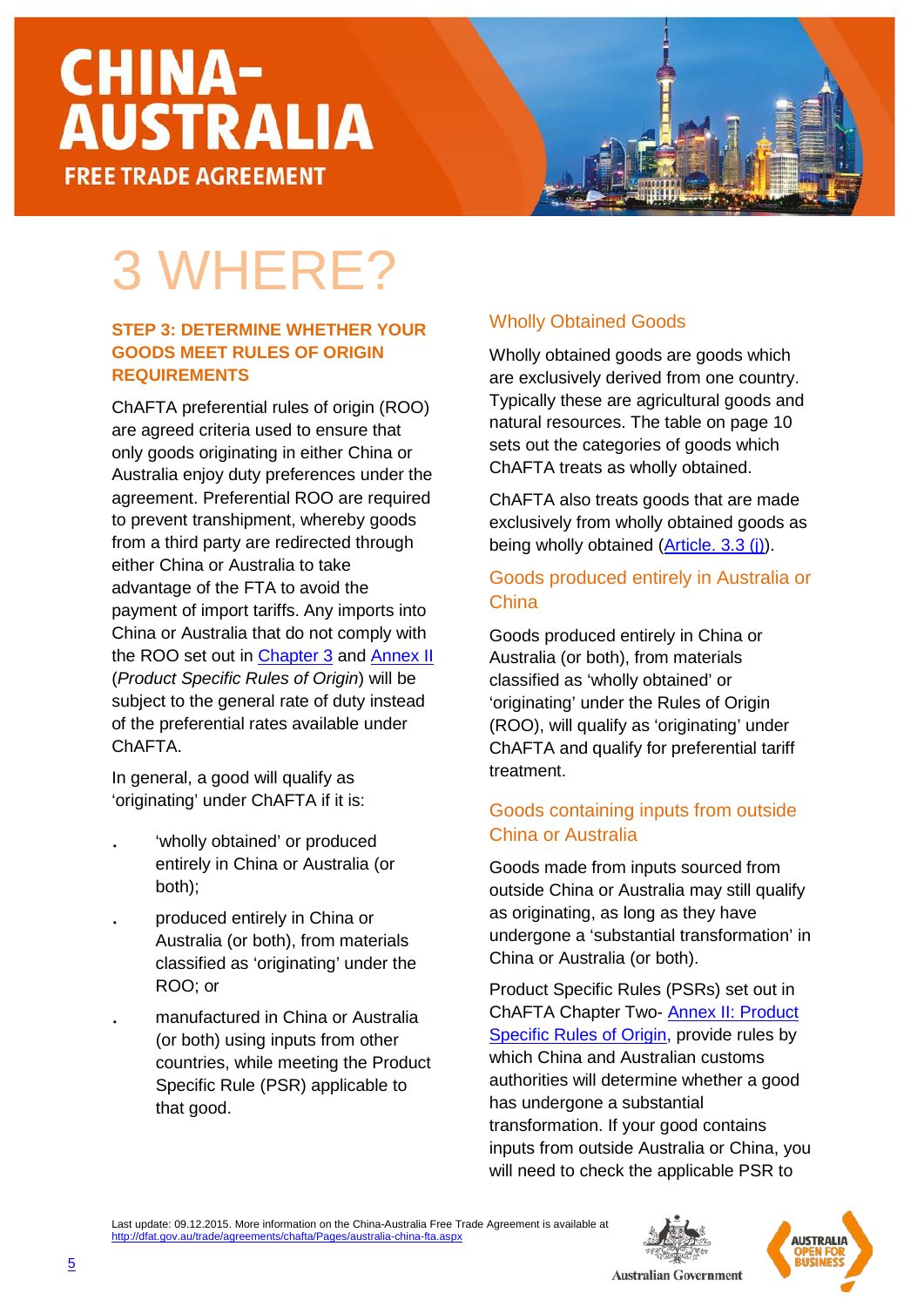### 3 WHERE?

#### **STEP 3: DETERMINE WHETHER YOUR GOODS MEET RULES OF ORIGIN REQUIREMENTS**

ChAFTA preferential rules of origin (ROO) are agreed criteria used to ensure that only goods originating in either China or Australia enjoy duty preferences under the agreement. Preferential ROO are required to prevent transhipment, whereby goods from a third party are redirected through either China or Australia to take advantage of the FTA to avoid the payment of import tariffs. Any imports into China or Australia that do not comply with the ROO set out in [Chapter 3](http://dfat.gov.au/trade/agreements/chafta/official-documents/Documents/chafta-chapter-3-rules-of-origin-and-implementation-procedures.docx) and [Annex II](http://dfat.gov.au/trade/agreements/chafta/official-documents/Documents/chafta-annex-ii-product-specific-rules-of-origin.docx) (*Product Specific Rules of Origin*) will be subject to the general rate of duty instead of the preferential rates available under ChAFTA.

In general, a good will qualify as 'originating' under ChAFTA if it is:

- 'wholly obtained' or produced entirely in China or Australia (or both);
- . produced entirely in China or Australia (or both), from materials classified as 'originating' under the ROO; or
- . manufactured in China or Australia (or both) using inputs from other countries, while meeting the Product Specific Rule (PSR) applicable to that good.

#### Wholly Obtained Goods

Wholly obtained goods are goods which are exclusively derived from one country. Typically these are agricultural goods and natural resources. The table on page 10 sets out the categories of goods which ChAFTA treats as wholly obtained.

ChAFTA also treats goods that are made exclusively from wholly obtained goods as being wholly obtained [\(Article. 3.3](http://dfat.gov.au/trade/agreements/chafta/official-documents/Documents/chafta-chapter-3-rules-of-origin-and-implementation-procedures.docx) (j)).

#### Goods produced entirely in Australia or **China**

Goods produced entirely in China or Australia (or both), from materials classified as 'wholly obtained' or 'originating' under the Rules of Origin (ROO), will qualify as 'originating' under ChAFTA and qualify for preferential tariff treatment.

#### Goods containing inputs from outside China or Australia

Goods made from inputs sourced from outside China or Australia may still qualify as originating, as long as they have undergone a 'substantial transformation' in China or Australia (or both).

Product Specific Rules (PSRs) set out in ChAFTA Chapter Two- [Annex II: Product](http://dfat.gov.au/trade/agreements/chafta/official-documents/Documents/chafta-annex-ii-product-specific-rules-of-origin.docx)  [Specific Rules of Origin,](http://dfat.gov.au/trade/agreements/chafta/official-documents/Documents/chafta-annex-ii-product-specific-rules-of-origin.docx) provide rules by which China and Australian customs authorities will determine whether a good has undergone a substantial transformation. If your good contains inputs from outside Australia or China, you will need to check the applicable PSR to





![](_page_4_Picture_18.jpeg)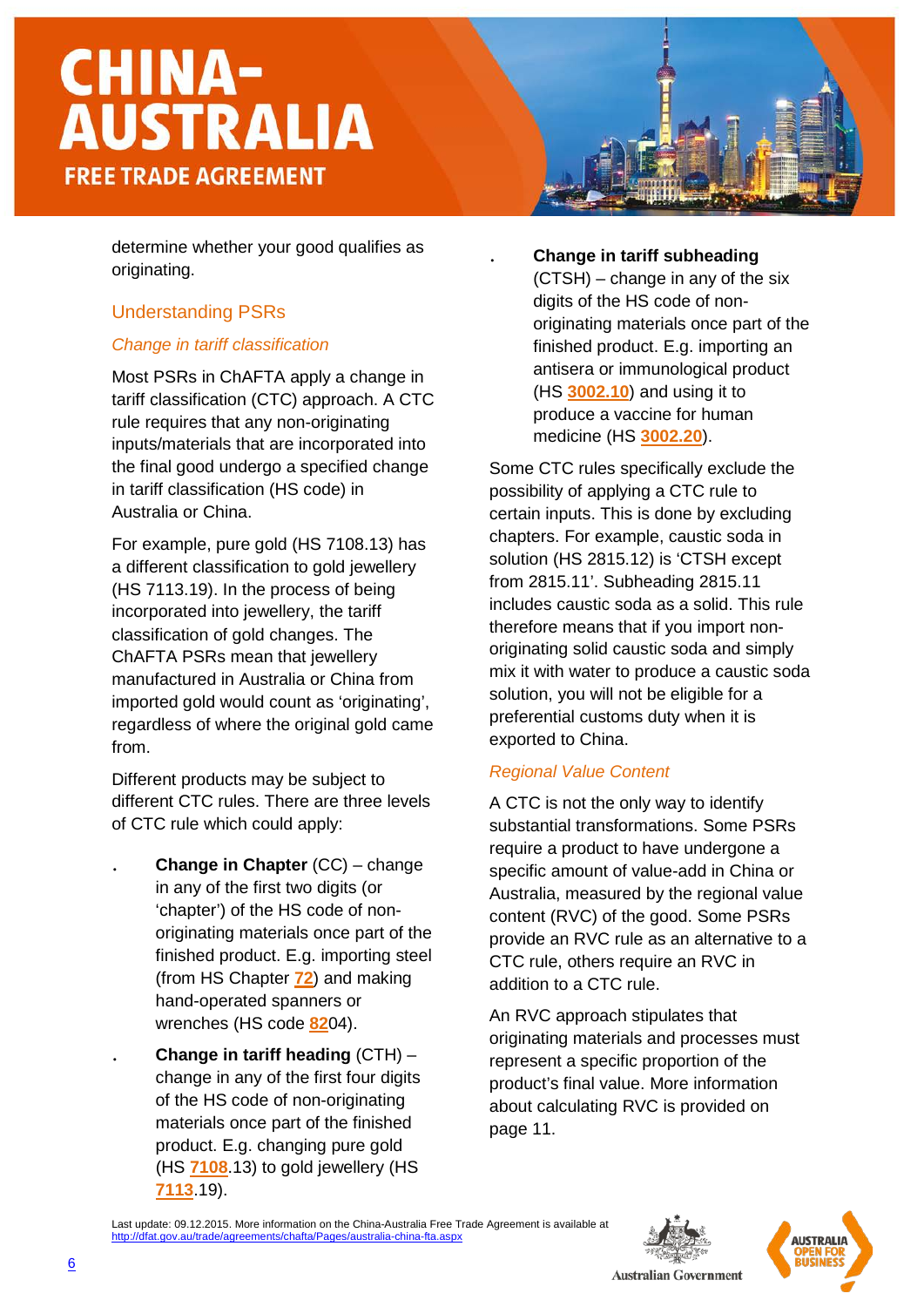determine whether your good qualifies as originating.

#### Understanding PSRs

#### *Change in tariff classification*

Most PSRs in ChAFTA apply a change in tariff classification (CTC) approach. A CTC rule requires that any non-originating inputs/materials that are incorporated into the final good undergo a specified change in tariff classification (HS code) in Australia or China.

For example, pure gold (HS 7108.13) has a different classification to gold jewellery (HS 7113.19). In the process of being incorporated into jewellery, the tariff classification of gold changes. The ChAFTA PSRs mean that jewellery manufactured in Australia or China from imported gold would count as 'originating', regardless of where the original gold came from.

Different products may be subject to different CTC rules. There are three levels of CTC rule which could apply:

- . **Change in Chapter** (CC) change in any of the first two digits (or 'chapter') of the HS code of nonoriginating materials once part of the finished product. E.g. importing steel (from HS Chapter **72**) and making hand-operated spanners or wrenches (HS code **82**04).
- . **Change in tariff heading** (CTH) change in any of the first four digits of the HS code of non-originating materials once part of the finished product. E.g. changing pure gold (HS **7108**.13) to gold jewellery (HS **7113**.19).

#### . **Change in tariff subheading**

(CTSH) – change in any of the six digits of the HS code of nonoriginating materials once part of the finished product. E.g. importing an antisera or immunological product (HS **3002.10**) and using it to produce a vaccine for human medicine (HS **3002.20**).

Some CTC rules specifically exclude the possibility of applying a CTC rule to certain inputs. This is done by excluding chapters. For example, caustic soda in solution (HS 2815.12) is 'CTSH except from 2815.11'. Subheading 2815.11 includes caustic soda as a solid. This rule therefore means that if you import nonoriginating solid caustic soda and simply mix it with water to produce a caustic soda solution, you will not be eligible for a preferential customs duty when it is exported to China.

#### *Regional Value Content*

A CTC is not the only way to identify substantial transformations. Some PSRs require a product to have undergone a specific amount of value-add in China or Australia, measured by the regional value content (RVC) of the good. Some PSRs provide an RVC rule as an alternative to a CTC rule, others require an RVC in addition to a CTC rule.

An RVC approach stipulates that originating materials and processes must represent a specific proportion of the product's final value. More information about calculating RVC is provided on page 11.

Last update: 09.12.2015. More information on the China-Australia Free Trade Agreement is available at china-fta.aspx

![](_page_5_Picture_16.jpeg)

![](_page_5_Picture_17.jpeg)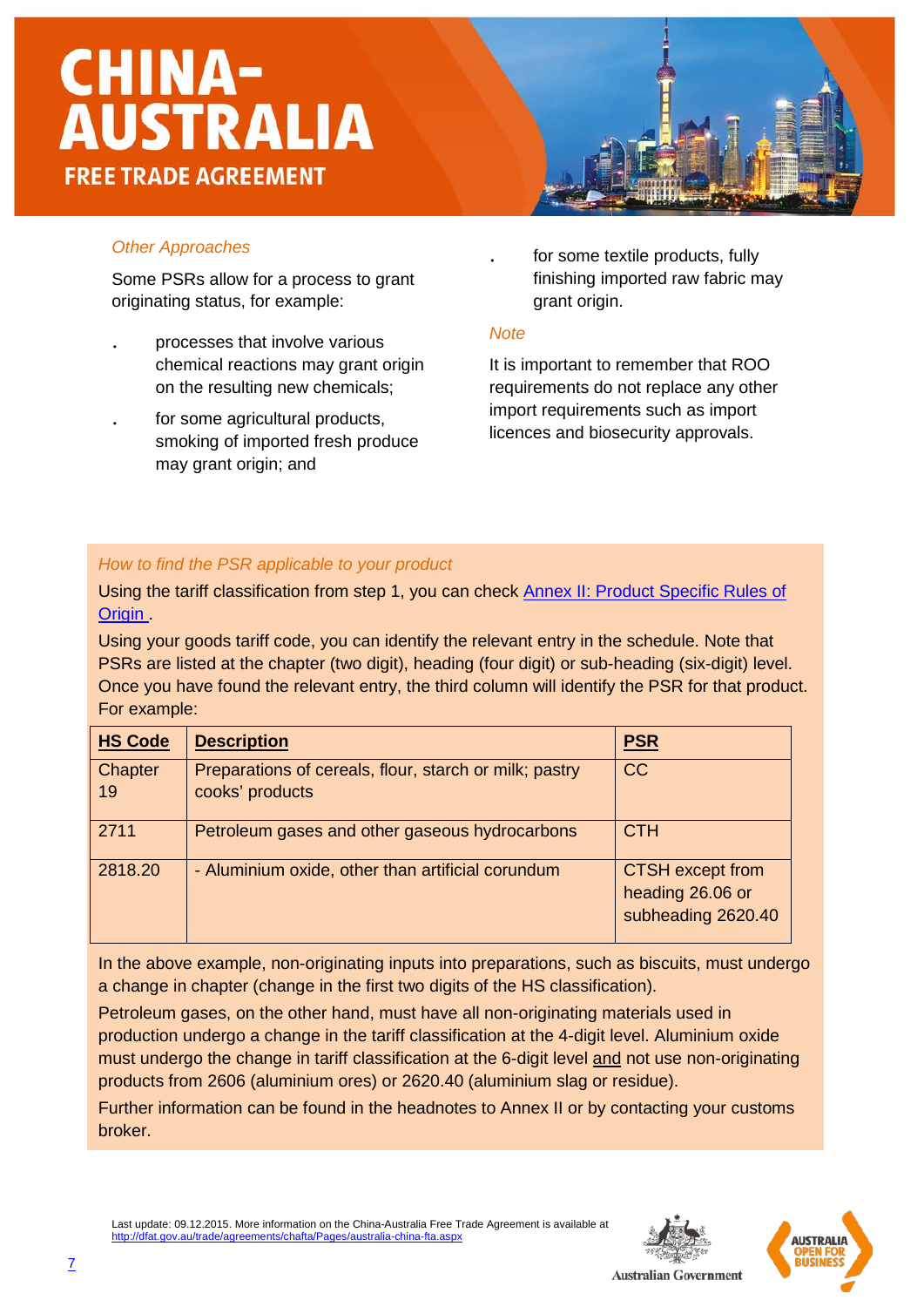![](_page_6_Picture_1.jpeg)

#### *Other Approaches*

Some PSRs allow for a process to grant originating status, for example:

- . processes that involve various chemical reactions may grant origin on the resulting new chemicals;
- . for some agricultural products, smoking of imported fresh produce may grant origin; and

for some textile products, fully finishing imported raw fabric may grant origin.

#### *Note*

It is important to remember that ROO requirements do not replace any other import requirements such as import licences and biosecurity approvals.

#### *How to find the PSR applicable to your product*

Using the tariff classification from step 1, you can check [Annex II: Product Specific Rules of](http://dfat.gov.au/trade/agreements/chafta/official-documents/Documents/chafta-annex-ii-product-specific-rules-of-origin.docx)  Origin

Using your goods tariff code, you can identify the relevant entry in the schedule. Note that PSRs are listed at the chapter (two digit), heading (four digit) or sub-heading (six-digit) level. Once you have found the relevant entry, the third column will identify the PSR for that product. For example:

| <b>HS Code</b> | <b>Description</b>                                                        | <b>PSR</b>                                                        |
|----------------|---------------------------------------------------------------------------|-------------------------------------------------------------------|
| Chapter<br>19  | Preparations of cereals, flour, starch or milk; pastry<br>cooks' products | <b>CC</b>                                                         |
| 2711           | Petroleum gases and other gaseous hydrocarbons                            | <b>CTH</b>                                                        |
| 2818.20        | - Aluminium oxide, other than artificial corundum                         | <b>CTSH</b> except from<br>heading 26.06 or<br>subheading 2620.40 |

In the above example, non-originating inputs into preparations, such as biscuits, must undergo a change in chapter (change in the first two digits of the HS classification).

Petroleum gases, on the other hand, must have all non-originating materials used in production undergo a change in the tariff classification at the 4-digit level. Aluminium oxide must undergo the change in tariff classification at the 6-digit level and not use non-originating products from 2606 (aluminium ores) or 2620.40 (aluminium slag or residue).

Further information can be found in the headnotes to Annex II or by contacting your customs broker.

![](_page_6_Picture_16.jpeg)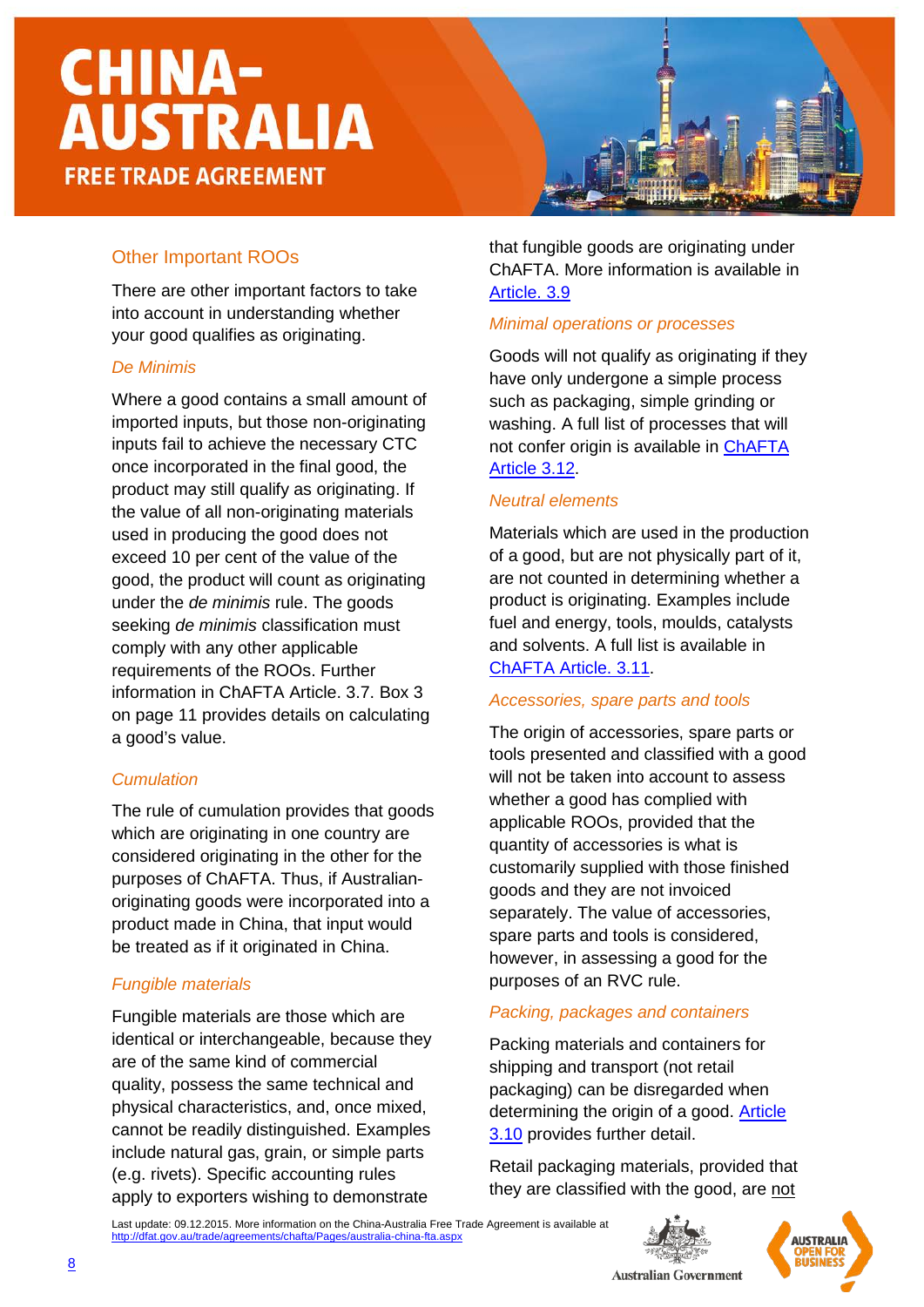#### Other Important ROOs

There are other important factors to take into account in understanding whether your good qualifies as originating.

#### *De Minimis*

Where a good contains a small amount of imported inputs, but those non-originating inputs fail to achieve the necessary CTC once incorporated in the final good, the product may still qualify as originating. If the value of all non-originating materials used in producing the good does not exceed 10 per cent of the value of the good, the product will count as originating under the *de minimis* rule. The goods seeking *de minimis* classification must comply with any other applicable requirements of the ROOs. Further information in ChAFTA Article. 3.7. Box 3 on page 11 provides details on calculating a good's value.

#### *Cumulation*

The rule of cumulation provides that goods which are originating in one country are considered originating in the other for the purposes of ChAFTA. Thus, if Australianoriginating goods were incorporated into a product made in China, that input would be treated as if it originated in China.

#### *Fungible materials*

Fungible materials are those which are identical or interchangeable, because they are of the same kind of commercial quality, possess the same technical and physical characteristics, and, once mixed, cannot be readily distinguished. Examples include natural gas, grain, or simple parts (e.g. rivets). Specific accounting rules apply to exporters wishing to demonstrate

that fungible goods are originating under ChAFTA. More information is available in [Article. 3.9](http://dfat.gov.au/trade/agreements/chafta/official-documents/Documents/chafta-chapter-3-rules-of-origin-and-implementation-procedures.docx)

#### *Minimal operations or processes*

Goods will not qualify as originating if they have only undergone a simple process such as packaging, simple grinding or washing. A full list of processes that will not confer origin is available in [ChAFTA](http://dfat.gov.au/trade/agreements/chafta/official-documents/Documents/chafta-chapter-3-rules-of-origin-and-implementation-procedures.docx) [Article](http://dfat.gov.au/trade/agreements/chafta/official-documents/Documents/chafta-chapter-3-rules-of-origin-and-implementation-procedures.docx) 3.12.

#### *Neutral elements*

Materials which are used in the production of a good, but are not physically part of it, are not counted in determining whether a product is originating. Examples include fuel and energy, tools, moulds, catalysts and solvents. A full list is available in ChAFTA [Article. 3.11.](http://dfat.gov.au/trade/agreements/chafta/official-documents/Documents/chafta-chapter-3-rules-of-origin-and-implementation-procedures.docx)

#### *Accessories, spare parts and tools*

The origin of accessories, spare parts or tools presented and classified with a good will not be taken into account to assess whether a good has complied with applicable ROOs, provided that the quantity of accessories is what is customarily supplied with those finished goods and they are not invoiced separately. The value of accessories, spare parts and tools is considered, however, in assessing a good for the purposes of an RVC rule.

#### *Packing, packages and containers*

Packing materials and containers for shipping and transport (not retail packaging) can be disregarded when determining the origin of a good. [Article](http://dfat.gov.au/trade/agreements/chafta/official-documents/Documents/chafta-chapter-3-rules-of-origin-and-implementation-procedures.docx) [3.10](http://dfat.gov.au/trade/agreements/chafta/official-documents/Documents/chafta-chapter-3-rules-of-origin-and-implementation-procedures.docx) provides further detail.

Retail packaging materials, provided that they are classified with the good, are not

Last update: 09.12.2015. More information on the China-Australia Free Trade Agreement is available at <http://dfat.gov.au/trade/agreements/chafta/Pages/australia-china-fta.aspx>

![](_page_7_Picture_20.jpeg)

![](_page_7_Picture_21.jpeg)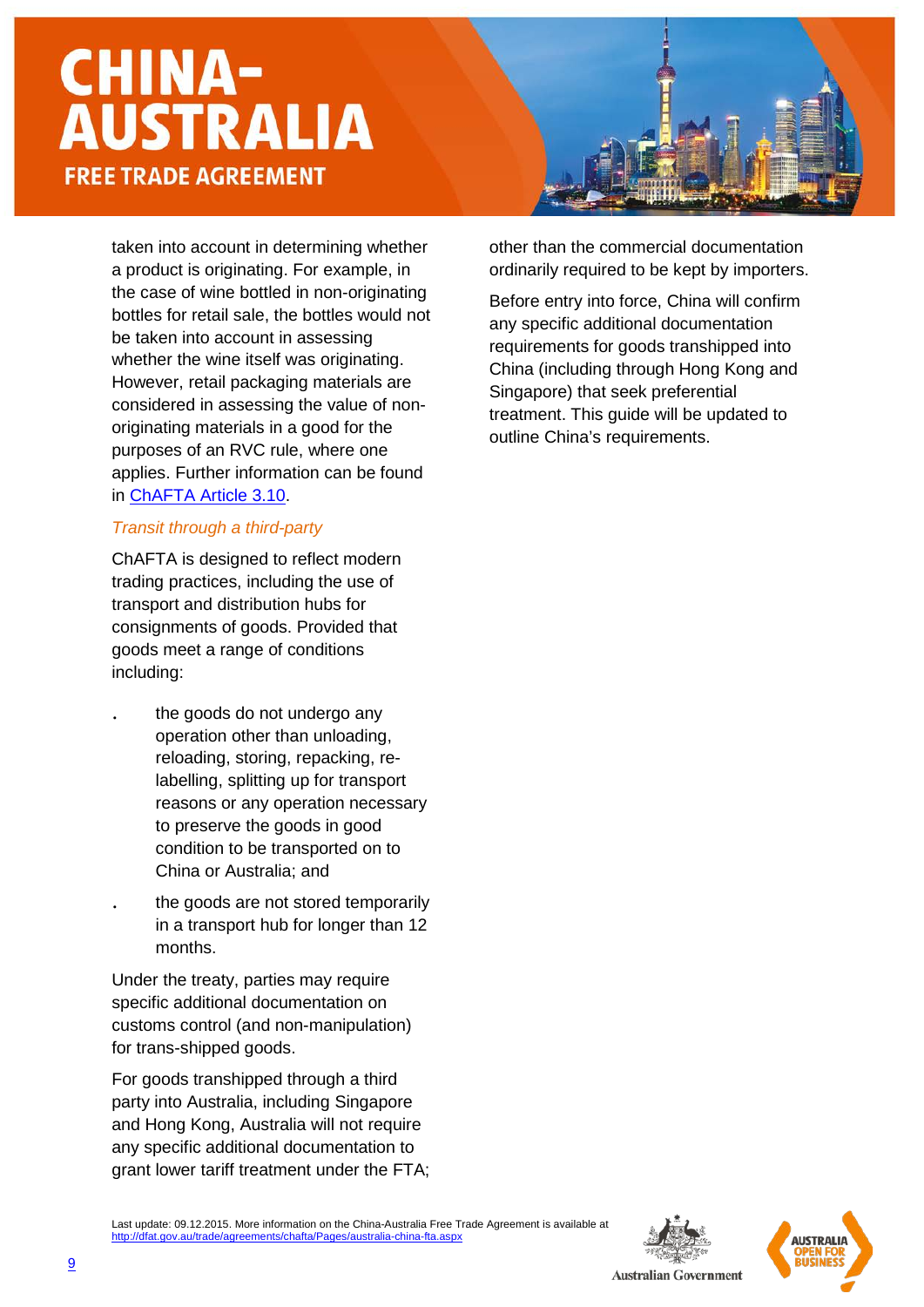taken into account in determining whether a product is originating. For example, in the case of wine bottled in non-originating bottles for retail sale, the bottles would not be taken into account in assessing whether the wine itself was originating. However, retail packaging materials are considered in assessing the value of nonoriginating materials in a good for the purposes of an RVC rule, where one applies. Further information can be found in [ChAFTA](http://dfat.gov.au/trade/agreements/chafta/official-documents/Documents/chafta-chapter-3-rules-of-origin-and-implementation-procedures.docx) Article 3.10.

#### *Transit through a third-party*

ChAFTA is designed to reflect modern trading practices, including the use of transport and distribution hubs for consignments of goods. Provided that goods meet a range of conditions including:

- the goods do not undergo any operation other than unloading, reloading, storing, repacking, relabelling, splitting up for transport reasons or any operation necessary to preserve the goods in good condition to be transported on to China or Australia; and
- the goods are not stored temporarily in a transport hub for longer than 12 months.

Under the treaty, parties may require specific additional documentation on customs control (and non-manipulation) for trans-shipped goods.

For goods transhipped through a third party into Australia, including Singapore and Hong Kong, Australia will not require any specific additional documentation to grant lower tariff treatment under the FTA; other than the commercial documentation ordinarily required to be kept by importers.

Before entry into force, China will confirm any specific additional documentation requirements for goods transhipped into China (including through Hong Kong and Singapore) that seek preferential treatment. This guide will be updated to outline China's requirements.

![](_page_8_Picture_10.jpeg)

Last update: 09.12.2015. More information on the China-Australia Free Trade Agreement is available at <http://dfat.gov.au/trade/agreements/chafta/Pages/australia-china-fta.aspx>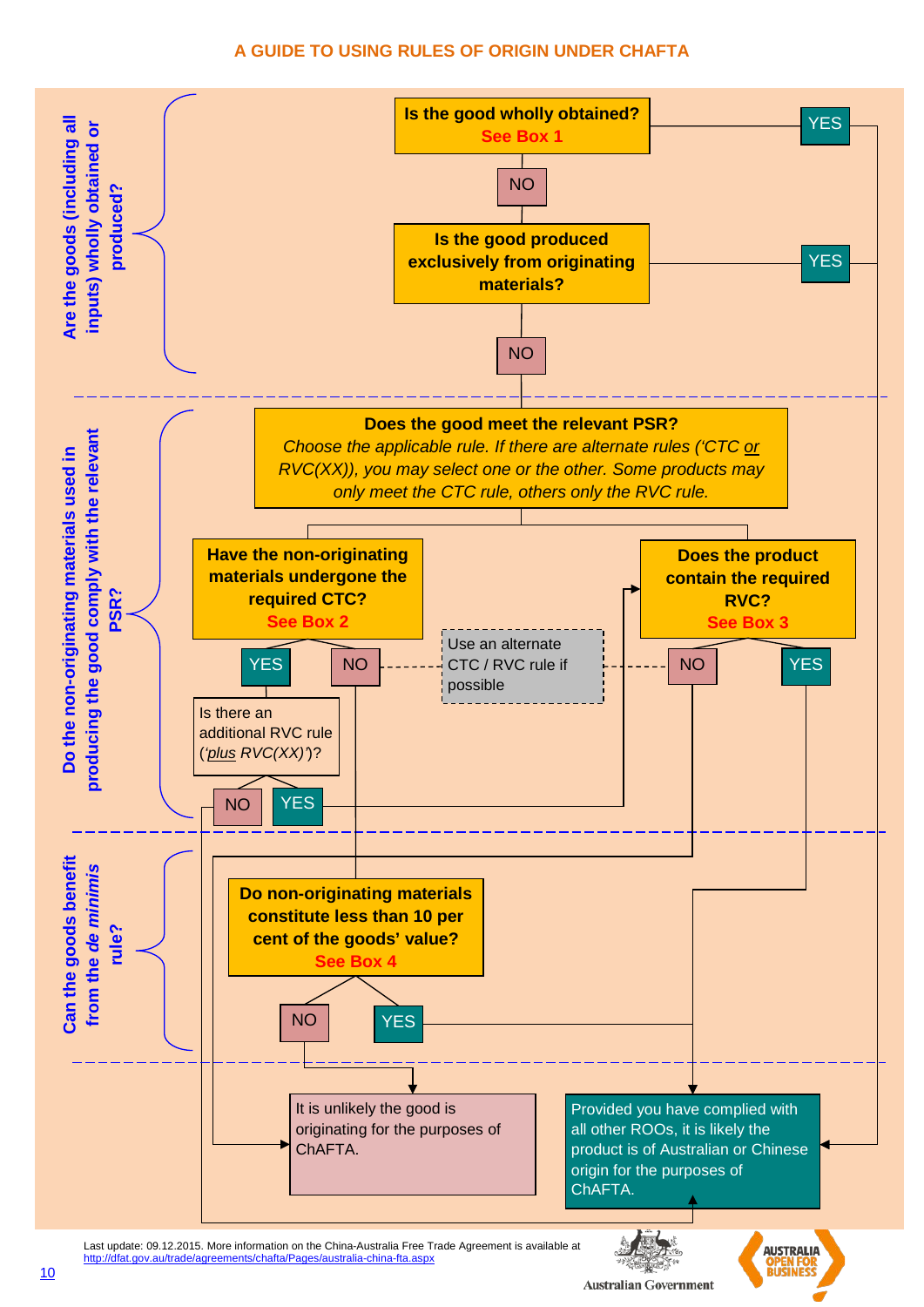#### **A GUIDE TO USING RULES OF ORIGIN UNDER CHAFTA**

![](_page_9_Figure_1.jpeg)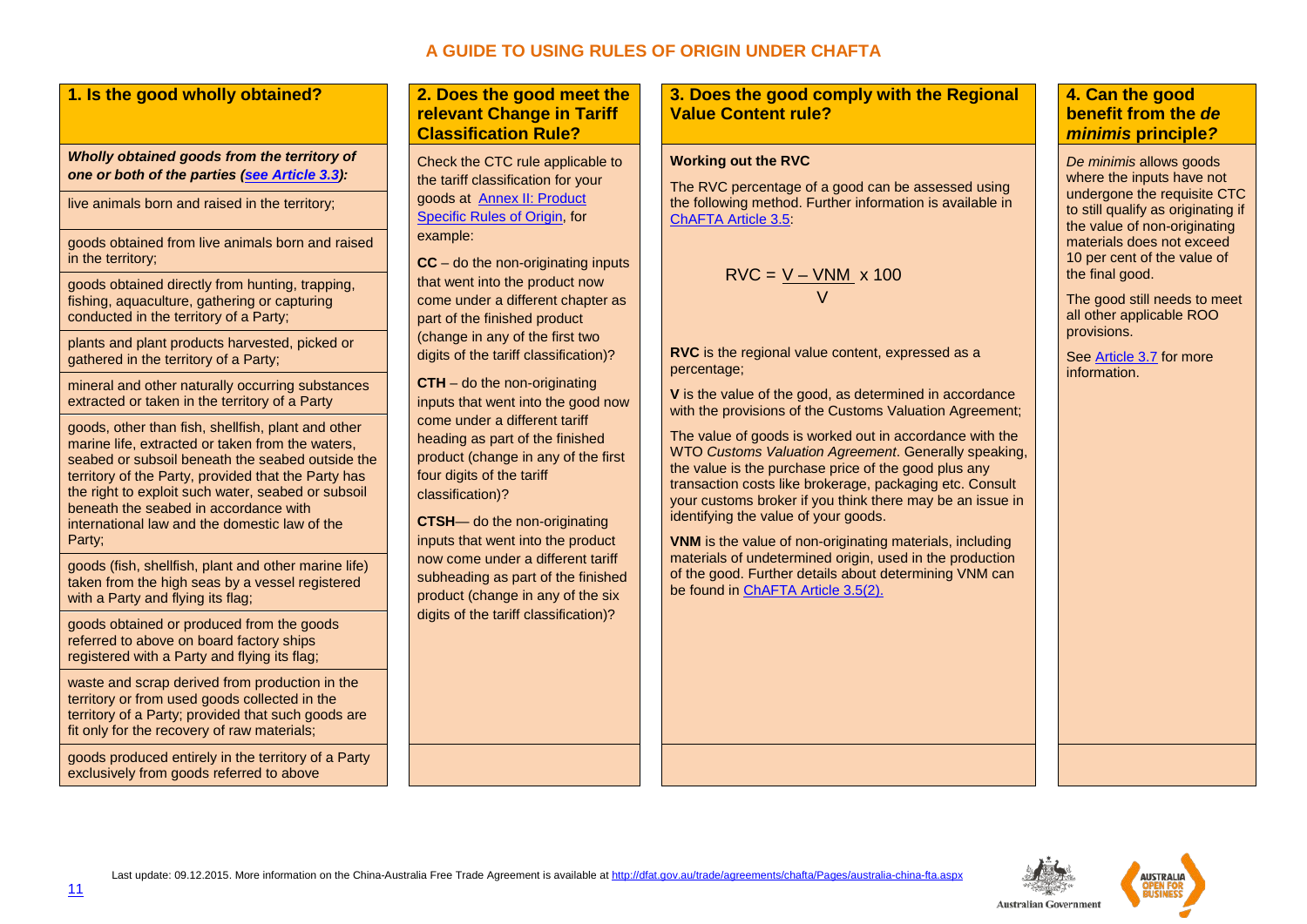#### **A GUIDE TO USING RULES OF ORIGIN UNDER CHAFTA**

|  | 1. Is the good wholly obtained? |  |
|--|---------------------------------|--|
|  |                                 |  |

#### *Wholly obtained goods from the territory of one or both of the parties [\(see Article](http://dfat.gov.au/trade/agreements/chafta/official-documents/Documents/chafta-chapter-3-rules-of-origin-and-implementation-procedures.docx) 3.3):*

live animals born and raised in the territory;

goods obtained from live animals born and raised in the territory;

goods obtained directly from hunting, trapping, fishing, aquaculture, gathering or capturing conducted in the territory of a Party;

plants and plant products harvested, picked or gathered in the territory of a Party;

mineral and other naturally occurring substances extracted or taken in the territory of a Party

goods, other than fish, shellfish, plant and other marine life, extracted or taken from the waters, seabed or subsoil beneath the seabed outside the territory of the Party, provided that the Party has the right to exploit such water, seabed or subsoil beneath the seabed in accordance with international law and the domestic law of the Party;

goods (fish, shellfish, plant and other marine life) taken from the high seas by a vessel registered with a Party and flying its flag;

goods obtained or produced from the goods referred to above on board factory ships registered with a Party and flying its flag;

waste and scrap derived from production in the territory or from used goods collected in the territory of a Party; provided that such goods are fit only for the recovery of raw materials;

goods produced entirely in the territory of a Party exclusively from goods referred to above

#### **1. Does the good meet the relevant Change in Tariff Classification Rule?**

Check the CTC rule applicable to the tariff classification for your goods at [Annex II: Product](http://www.dfat.gov.au/fta/kafta/html/kafta-schedule-product-specific-rules.html)  [Specific Rules of Origin,](http://www.dfat.gov.au/fta/kafta/html/kafta-schedule-product-specific-rules.html) for [example:](http://www.dfat.gov.au/fta/kafta/html/kafta-schedule-product-specific-rules.html)

**CC** – do the non-originating inputs that went into the product now come under a different chapter as part of the finished product (change in any of the first two digits of the tariff classification)?

**CTH** – do the non-originating inputs that went into the good now come under a different tariff heading as part of the finished product (change in any of the first four digits of the tariff classification)?

**CTSH**— do the non-originating inputs that went into the product now come under a different tariff subheading as part of the finished product (change in any of the six digits of the tariff classification)?

**3. Does the good comply with the Regional Value Content rule?** 

#### **Working out the RVC**

The RVC percentage of a good can be assessed using the following method. Further information is available in [ChAFTA](http://dfat.gov.au/trade/agreements/chafta/official-documents/Documents/chafta-chapter-3-rules-of-origin-and-implementation-procedures.docx) Article 3.5:

$$
RVC = \frac{V - VNM}{V} \times 100
$$

**RVC** is the regional value content, expressed as a percentage;

**V** is the value of the good, as determined in accordance with the provisions of the Customs Valuation Agreement:

The value of goods is worked out in accordance with the WTO *Customs Valuation Agreement*. Generally speaking, the value is the purchase price of the good plus any transaction costs like brokerage, packaging etc. Consult your customs broker if you think there may be an issue in identifying the value of your goods.

**VNM** is the value of non-originating materials, including materials of undetermined origin, used in the production of the good. Further details about determining VNM can be found in [ChAFTA Article 3.5\(2\).](http://dfat.gov.au/trade/agreements/chafta/official-documents/Documents/chafta-chapter-3-rules-of-origin-and-implementation-procedures.docx)

#### **4. Can the good benefit from the** *de minimis* **principle***?*

*De minimis* allows goods where the inputs have not undergone the requisite CTC to still qualify as originating if the value of non-originating materials does not exceed 10 per cent of the value of the final good.

The good still needs to meet all other applicable ROO provisions.

Se[e Article](http://dfat.gov.au/trade/agreements/chafta/official-documents/Documents/chafta-chapter-3-rules-of-origin-and-implementation-procedures.docx) 3.7 for more information.

![](_page_10_Picture_30.jpeg)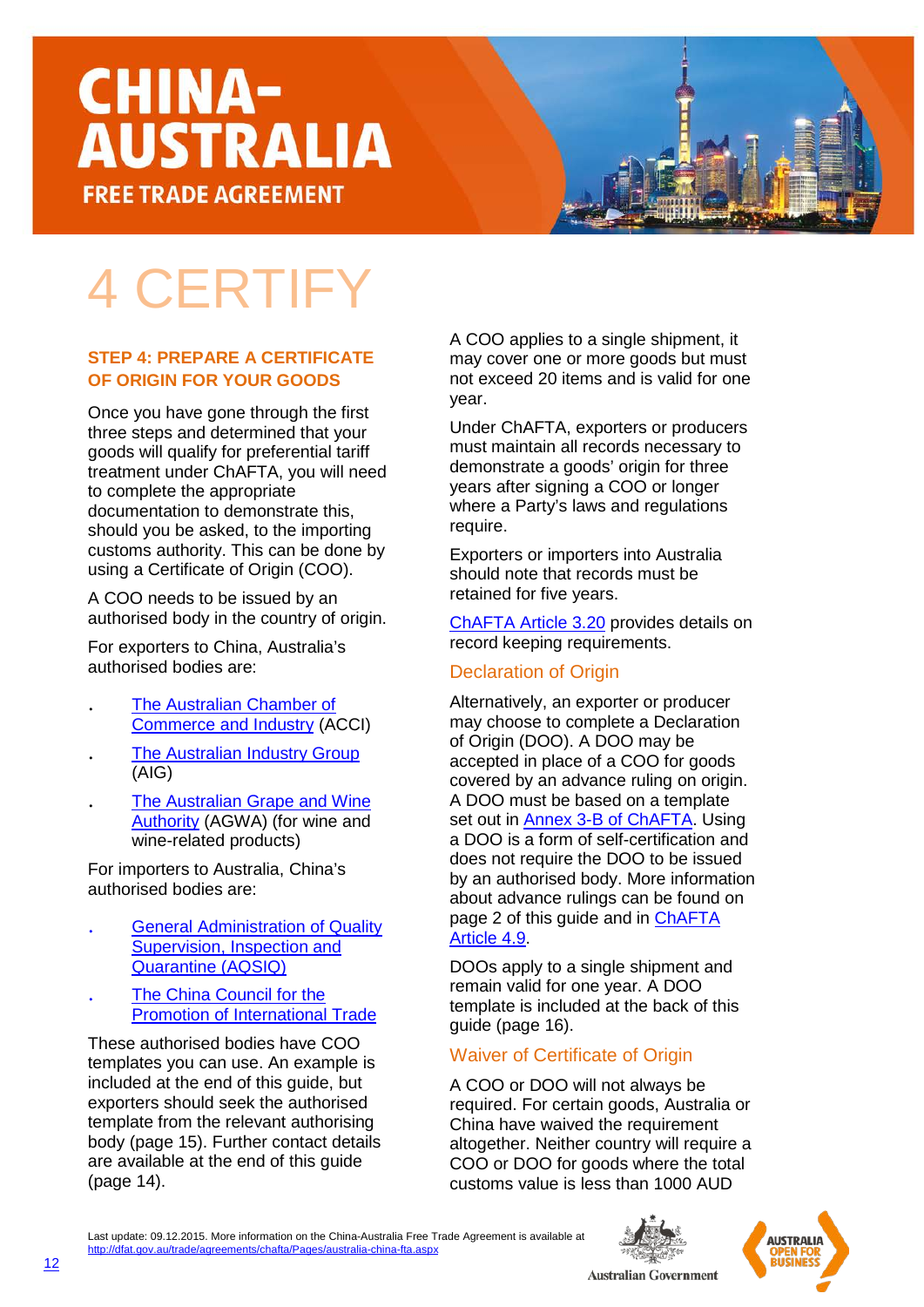### 4 CERTIFY

#### **STEP 4: PREPARE A CERTIFICATE OF ORIGIN FOR YOUR GOODS**

Once you have gone through the first three steps and determined that your goods will qualify for preferential tariff treatment under ChAFTA, you will need to complete the appropriate documentation to demonstrate this, should you be asked, to the importing customs authority. This can be done by using a Certificate of Origin (COO).

A COO needs to be issued by an authorised body in the country of origin.

For exporters to China, Australia's authorised bodies are:

- . [The Australian Chamber of](https://www.acci.asn.au/)  [Commerce and Industry](https://www.acci.asn.au/) (ACCI)
- . [The Australian Industry Group](http://www.aigroup.com.au/) (AIG)
- . [The Australian Grape and Wine](https://www.wineaustralia.com/)  [Authority](https://www.wineaustralia.com/) (AGWA) (for wine and wine-related products)

For importers to Australia, China's authorised bodies are:

- . General Administration of Quality Supervision, Inspection and Quarantine (AQSIQ)
- The China Council for the Promotion of International Trade

These authorised bodies have COO templates you can use. An example is included at the end of this guide, but exporters should seek the authorised template from the relevant authorising body (page 15). Further contact details are available at the end of this guide (page 14).

A COO applies to a single shipment, it may cover one or more goods but must not exceed 20 items and is valid for one year.

Under ChAFTA, exporters or producers must maintain all records necessary to demonstrate a goods' origin for three years after signing a COO or longer where a Party's laws and regulations require.

Exporters or importers into Australia should note that records must be retained for five years.

[ChAFTA](http://dfat.gov.au/trade/agreements/chafta/official-documents/Documents/chafta-chapter-3-rules-of-origin-and-implementation-procedures.docx) Article 3.20 provides details on record keeping requirements.

#### Declaration of Origin

Alternatively, an exporter or producer may choose to complete a Declaration of Origin (DOO). A DOO may be accepted in place of a COO for goods covered by an advance ruling on origin. A DOO must be based on a template set out in **Annex 3-B of ChAFTA**. Using a DOO is a form of self-certification and does not require the DOO to be issued by an authorised body. More information about advance rulings can be found on page 2 of this guide and in [ChAFTA](http://dfat.gov.au/trade/agreements/chafta/official-documents/Documents/chafta-chapter-3-rules-of-origin-and-implementation-procedures.docx)  [Article](http://dfat.gov.au/trade/agreements/chafta/official-documents/Documents/chafta-chapter-3-rules-of-origin-and-implementation-procedures.docx) 4.9.

DOOs apply to a single shipment and remain valid for one year. A DOO template is included at the back of this guide (page 16).

#### Waiver of Certificate of Origin

A COO or DOO will not always be required. For certain goods, Australia or China have waived the requirement altogether. Neither country will require a COO or DOO for goods where the total customs value is less than 1000 AUD

![](_page_11_Picture_23.jpeg)

![](_page_11_Picture_24.jpeg)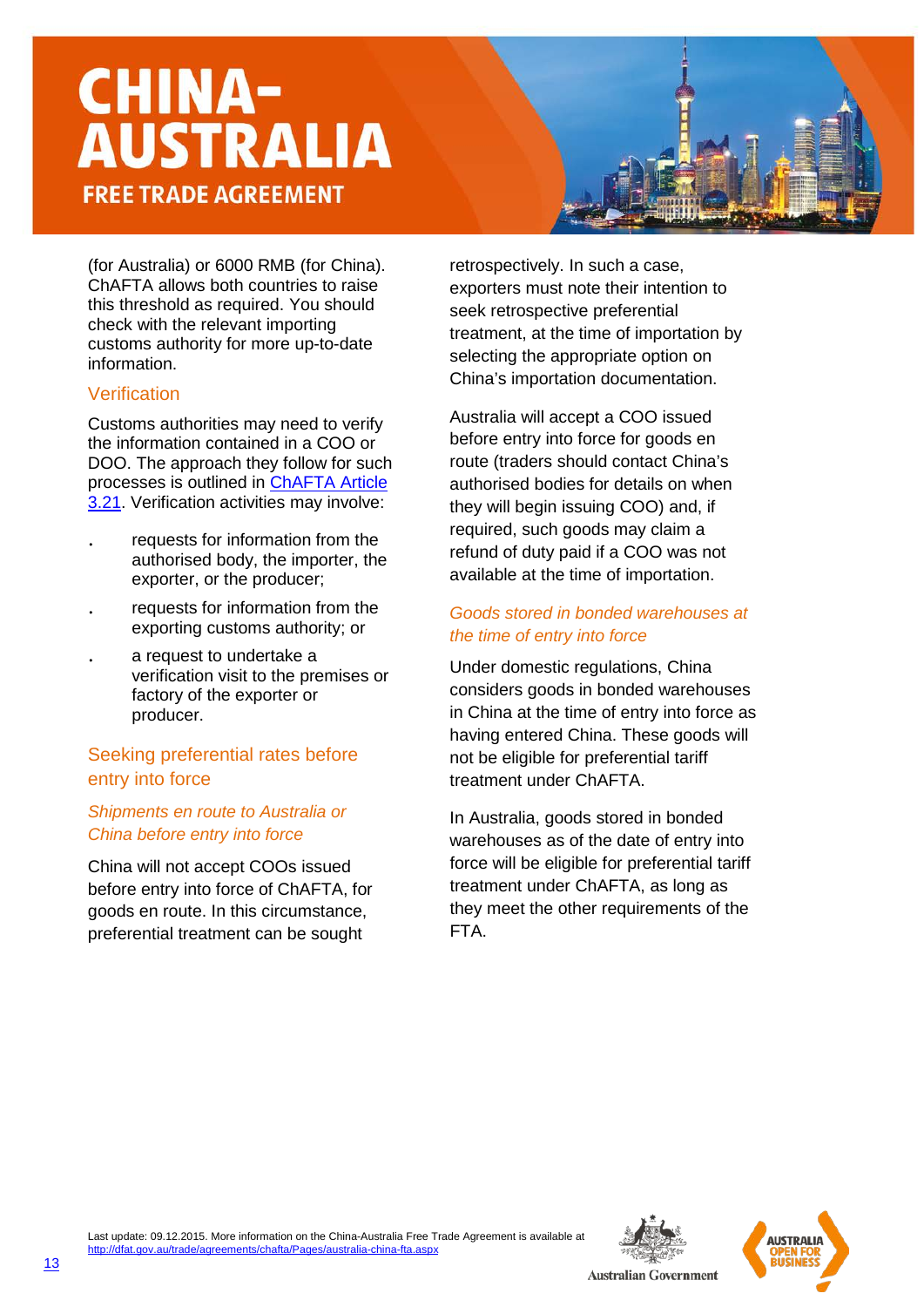(for Australia) or 6000 RMB (for China). ChAFTA allows both countries to raise this threshold as required. You should check with the relevant importing customs authority for more up-to-date information.

#### Verification

Customs authorities may need to verify the information contained in a COO or DOO. The approach they follow for such processes is outlined in [ChAFTA](http://dfat.gov.au/trade/agreements/chafta/official-documents/Documents/chafta-chapter-3-rules-of-origin-and-implementation-procedures.docx) Article [3.21.](http://dfat.gov.au/trade/agreements/chafta/official-documents/Documents/chafta-chapter-3-rules-of-origin-and-implementation-procedures.docx) Verification activities may involve:

- . requests for information from the authorised body, the importer, the exporter, or the producer;
- . requests for information from the exporting customs authority; or
- . a request to undertake a verification visit to the premises or factory of the exporter or producer.

#### Seeking preferential rates before entry into force

#### *Shipments en route to Australia or China before entry into force*

China will not accept COOs issued before entry into force of ChAFTA, for goods en route. In this circumstance, preferential treatment can be sought

retrospectively. In such a case, exporters must note their intention to seek retrospective preferential treatment, at the time of importation by selecting the appropriate option on China's importation documentation.

Australia will accept a COO issued before entry into force for goods en route (traders should contact China's authorised bodies for details on when they will begin issuing COO) and, if required, such goods may claim a refund of duty paid if a COO was not available at the time of importation.

#### *Goods stored in bonded warehouses at the time of entry into force*

Under domestic regulations, China considers goods in bonded warehouses in China at the time of entry into force as having entered China. These goods will not be eligible for preferential tariff treatment under ChAFTA.

In Australia, goods stored in bonded warehouses as of the date of entry into force will be eligible for preferential tariff treatment under ChAFTA, as long as they meet the other requirements of the FTA.

![](_page_12_Picture_15.jpeg)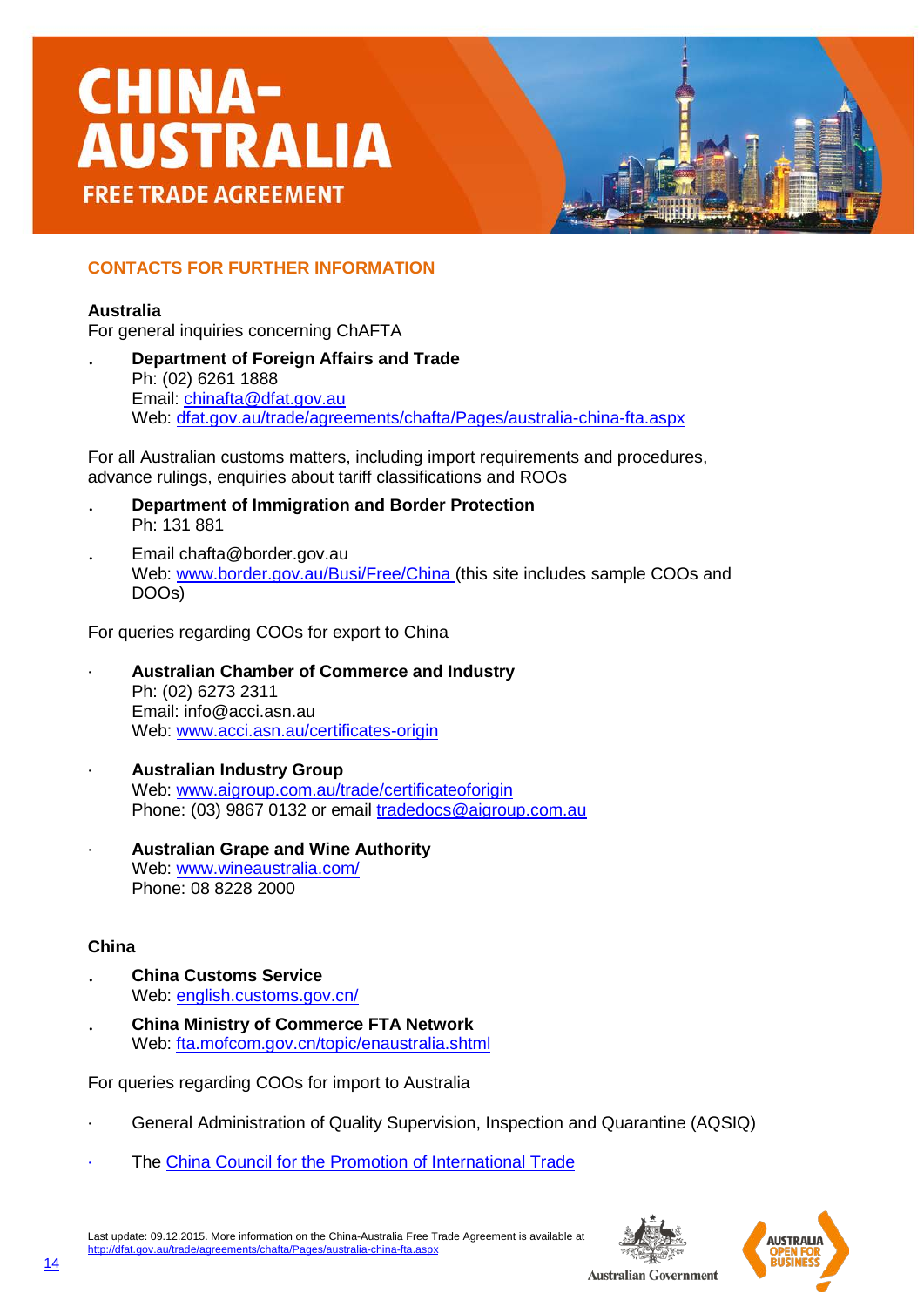#### **CONTACTS FOR FURTHER INFORMATION**

#### **Australia**

For general inquiries concerning ChAFTA

. **Department of Foreign Affairs and Trade** Ph: (02) 6261 1888 Email: [chinafta@dfat.gov.au](mailto:chinafta@dfat.gov.au) Web: [dfat.gov.au/trade/agreements/chafta/Pages/australia-china-fta.aspx](http://dfat.gov.au/trade/agreements/chafta/Pages/australia-china-fta.aspx)

For all Australian customs matters, including import requirements and procedures, advance rulings, enquiries about tariff classifications and ROOs

- . **Department of Immigration and Border Protection** Ph: 131 881
- . Email chafta@border.gov.au Web: [www.border.gov.au/Busi/Free/China](http://www.border.gov.au/Busi/Free/China) (this site includes sample COOs and DOOs)

For queries regarding COOs for export to China

- · **Australian Chamber of Commerce and Industry** Ph: (02) 6273 2311 Email: info@acci.asn.au Web: [www.acci.asn.au/certificates-origin](http://www.acci.asn.au/certificates-origin)
- · **Australian Industry Group** Web: [www.aigroup.com.au/trade/certificateoforigin](http://www.aigroup.com.au/trade/certificateoforigin) Phone: (03) 9867 0132 or email tradedocs@aigroup.com.au
- · **Australian Grape and Wine Authority** Web: [www.wineaustralia.com/](http://www.wineaustralia.com/) Phone: 08 8228 2000

#### **China**

- . **China Customs Service** Web: [english.customs.gov.cn/](http://english.customs.gov.cn/)
- . **China Ministry of Commerce FTA Network** Web: [fta.mofcom.gov.cn/topic/enaustralia.shtml](http://fta.mofcom.gov.cn/topic/enaustralia.shtml)

For queries regarding COOs for import to Australia

- · General Administration of Quality Supervision, Inspection and Quarantine (AQSIQ)
- The [China Council for the Promotion of International Trade](http://www.ccpit.org.cn/contact.asp?action=lxwm)

Last update: 09.12.2015. More information on the China-Australia Free Trade Agreement is available at <http://dfat.gov.au/trade/agreements/chafta/Pages/australia-china-fta.aspx>

![](_page_13_Picture_19.jpeg)

![](_page_13_Picture_20.jpeg)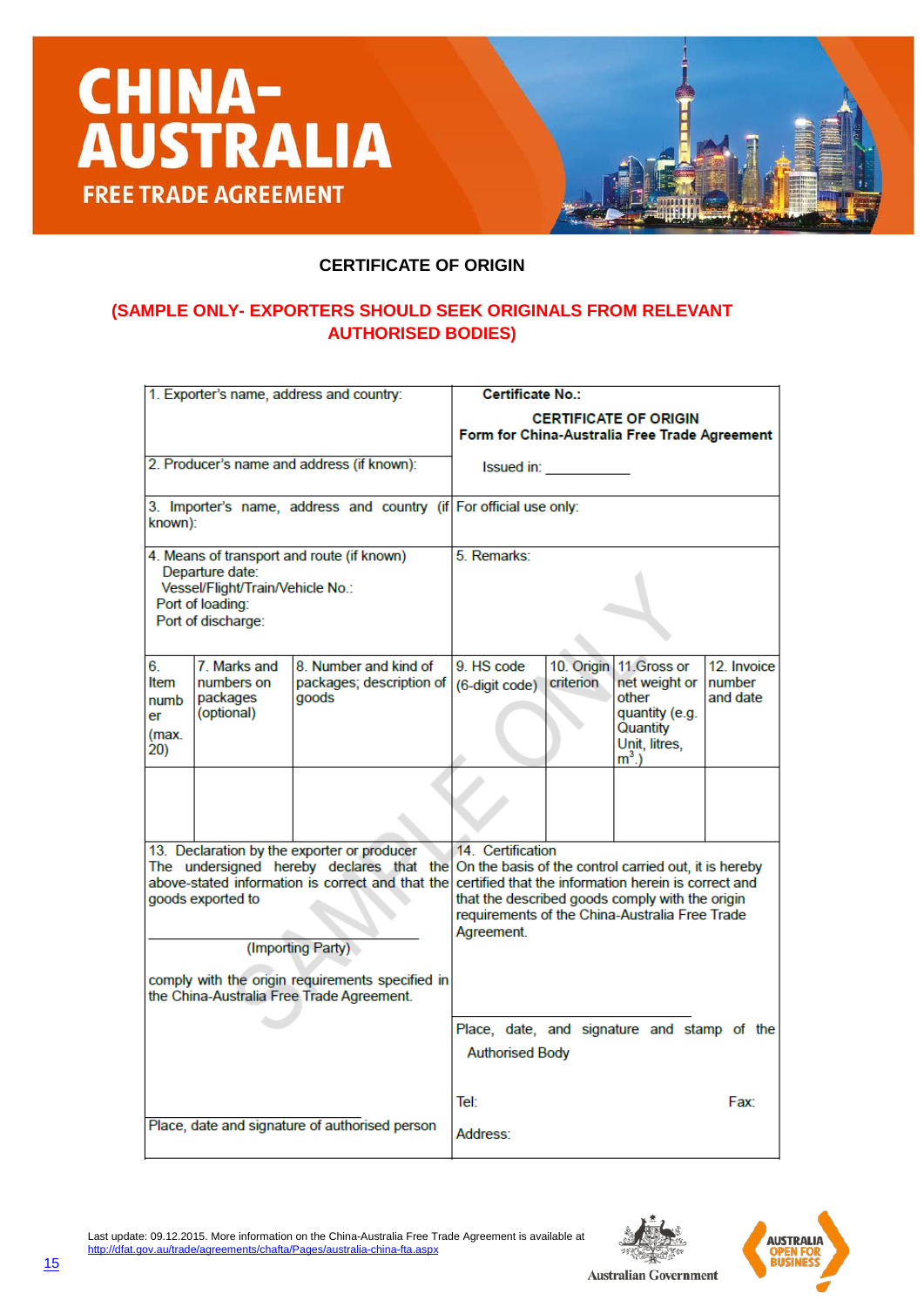![](_page_14_Picture_0.jpeg)

![](_page_14_Picture_1.jpeg)

#### **(SAMPLE ONLY- EXPORTERS SHOULD SEEK ORIGINALS FROM RELEVANT AUTHORISED BODIES)**

| 1. Exporter's name, address and country:                                                                                                    |              |                                                                                                 | <b>Certificate No.:</b>                                                                                                                                                                                                                                                                       |                         |                                                                                                  |                                    |  |  |
|---------------------------------------------------------------------------------------------------------------------------------------------|--------------|-------------------------------------------------------------------------------------------------|-----------------------------------------------------------------------------------------------------------------------------------------------------------------------------------------------------------------------------------------------------------------------------------------------|-------------------------|--------------------------------------------------------------------------------------------------|------------------------------------|--|--|
|                                                                                                                                             |              |                                                                                                 | <b>CERTIFICATE OF ORIGIN</b><br>Form for China-Australia Free Trade Agreement                                                                                                                                                                                                                 |                         |                                                                                                  |                                    |  |  |
|                                                                                                                                             |              | 2. Producer's name and address (if known):                                                      | Issued in: <b>Sandware</b>                                                                                                                                                                                                                                                                    |                         |                                                                                                  |                                    |  |  |
| 3. Importer's name, address and country (if For official use only:<br>known):                                                               |              |                                                                                                 |                                                                                                                                                                                                                                                                                               |                         |                                                                                                  |                                    |  |  |
| 4. Means of transport and route (if known)<br>Departure date:<br>Vessel/Flight/Train/Vehicle No.:<br>Port of loading:<br>Port of discharge: |              |                                                                                                 | 5. Remarks:                                                                                                                                                                                                                                                                                   |                         |                                                                                                  |                                    |  |  |
| 6.<br>Item<br>numbers on<br>packages<br>numb<br>(optional)<br>er<br>(max.<br>20)                                                            | 7. Marks and | 8. Number and kind of<br>packages; description of<br>goods                                      | 9. HS code<br>(6-digit code)                                                                                                                                                                                                                                                                  | 10. Origin<br>criterion | 11. Gross or<br>net weight or<br>other<br>quantity (e.g.<br>Quantity<br>Unit, litres,<br>$m3$ .) | 12. Invoice<br>Inumber<br>and date |  |  |
|                                                                                                                                             |              |                                                                                                 |                                                                                                                                                                                                                                                                                               |                         |                                                                                                  |                                    |  |  |
| goods exported to                                                                                                                           |              | 13. Declaration by the exporter or producer<br>above-stated information is correct and that the | 14 Certification<br>The undersigned hereby declares that the On the basis of the control carried out, it is hereby<br>certified that the information herein is correct and<br>that the described goods comply with the origin<br>requirements of the China-Australia Free Trade<br>Agreement. |                         |                                                                                                  |                                    |  |  |
| (Importing Party)<br>comply with the origin requirements specified in<br>the China-Australia Free Trade Agreement.                          |              |                                                                                                 |                                                                                                                                                                                                                                                                                               |                         |                                                                                                  |                                    |  |  |
|                                                                                                                                             |              |                                                                                                 | Place, date, and signature and stamp of the<br><b>Authorised Body</b>                                                                                                                                                                                                                         |                         |                                                                                                  |                                    |  |  |
|                                                                                                                                             |              | Place, date and signature of authorised person                                                  | Tel:                                                                                                                                                                                                                                                                                          |                         |                                                                                                  | Fax:                               |  |  |
|                                                                                                                                             |              |                                                                                                 | Address:                                                                                                                                                                                                                                                                                      |                         |                                                                                                  |                                    |  |  |

![](_page_14_Picture_4.jpeg)

**AUSTRAL** 

![](_page_14_Picture_5.jpeg)